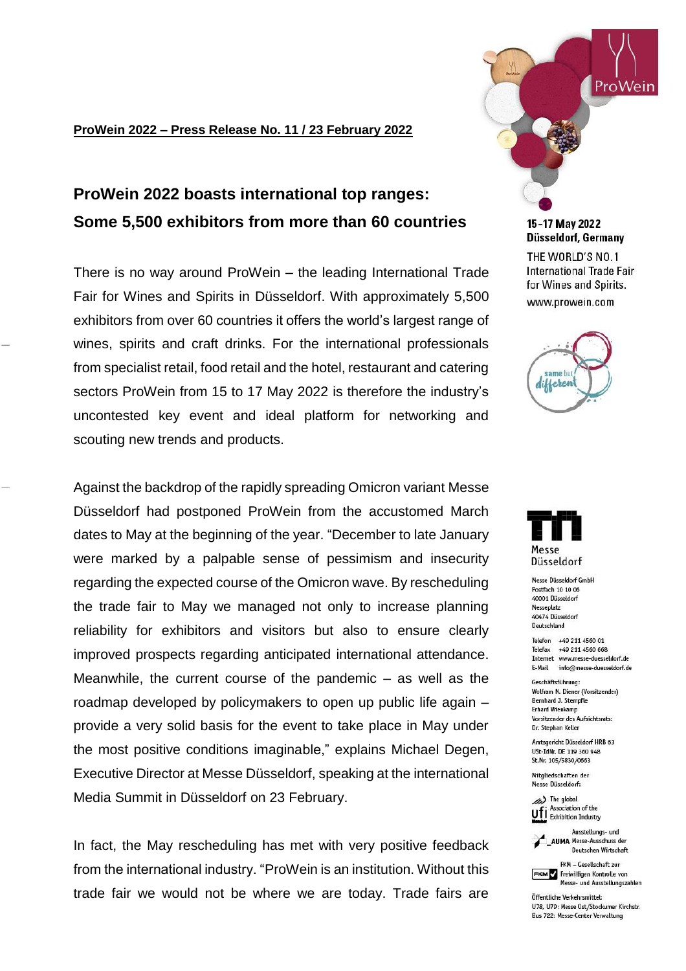## **ProWein 2022 – Press Release No. 11 / 23 February 2022**

# **ProWein 2022 boasts international top ranges: Some 5,500 exhibitors from more than 60 countries**

There is no way around ProWein – the leading International Trade Fair for Wines and Spirits in Düsseldorf. With approximately 5,500 exhibitors from over 60 countries it offers the world's largest range of wines, spirits and craft drinks. For the international professionals from specialist retail, food retail and the hotel, restaurant and catering sectors ProWein from 15 to 17 May 2022 is therefore the industry's uncontested key event and ideal platform for networking and scouting new trends and products.

Against the backdrop of the rapidly spreading Omicron variant Messe Düsseldorf had postponed ProWein from the accustomed March dates to May at the beginning of the year. "December to late January were marked by a palpable sense of pessimism and insecurity regarding the expected course of the Omicron wave. By rescheduling the trade fair to May we managed not only to increase planning reliability for exhibitors and visitors but also to ensure clearly improved prospects regarding anticipated international attendance. Meanwhile, the current course of the pandemic – as well as the roadmap developed by policymakers to open up public life again – provide a very solid basis for the event to take place in May under the most positive conditions imaginable," explains Michael Degen, Executive Director at Messe Düsseldorf, speaking at the international Media Summit in Düsseldorf on 23 February.

In fact, the May rescheduling has met with very positive feedback from the international industry. "ProWein is an institution. Without this trade fair we would not be where we are today. Trade fairs are



15-17 May 2022 Düsseldorf, Germany

THE WORLD'S NO.1 International Trade Fair for Wines and Spirits. www.prowein.com





Messe Düsseldorf GmbH Postfach 10 10 06 40001 Düsseldorf Messeplatz 40474 Düsseldorf Deutschland

Telefon +49 211 4560 01 Telefax +49 211 4560 668 Internet www.messe-duesseldorf.de E-Mail info@messe-duesseldorf.de

Geschäftsführung: Wolfram N. Diener (Vorsitzender) Bernhard J. Stempfle **Erhard Wienkamp** Vorsitzender des Aufsichtsrats: Dr. Stephan Keller

Amtsgericht Düsseldorf HRB 63 USt-IdNr. DE 119 360 948 St.Nr. 105/5830/0663

Mitgliedschaften der Messe Düsseldorf:

(b) The global Association of the Ufi Association of the



FKM - Gesellschaft zur FKM Freiwilligen Kontrolle von Messe- und Ausstellungszahlen

Öffentliche Verkehrsmittel: U78, U79: Messe Ost/Stockumer Kirchstr. Bus 722: Messe-Center Verwaltung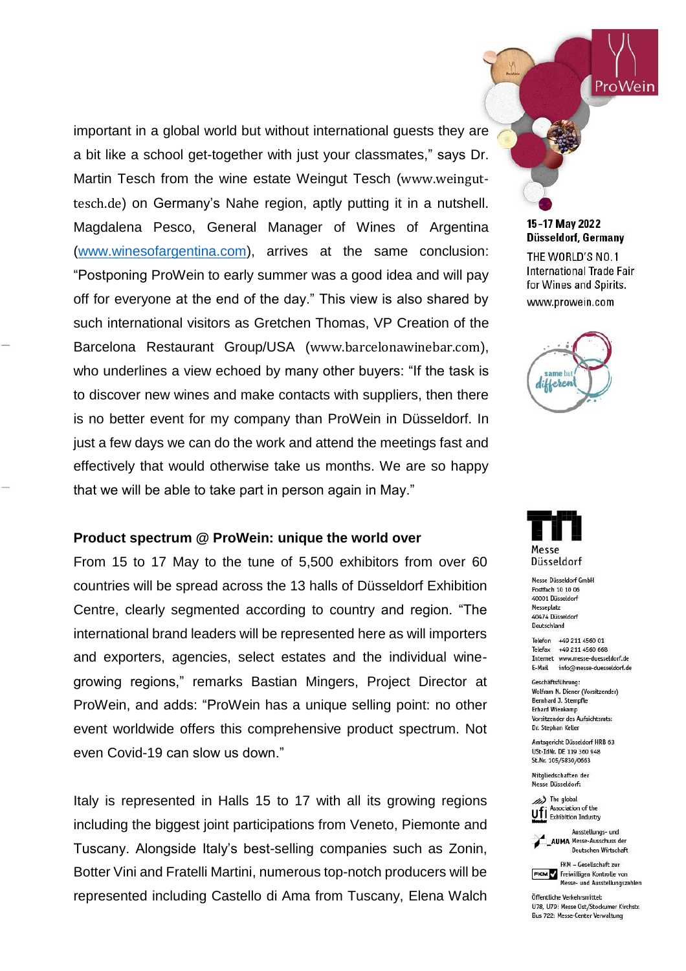important in a global world but without international guests they are a bit like a school get-together with just your classmates," says Dr. Martin Tesch from the wine estate Weingut Tesch ([www.weingut](http://www.weingut-tesch.de/)[tesch.de](http://www.weingut-tesch.de/)) on Germany's Nahe region, aptly putting it in a nutshell. Magdalena Pesco, General Manager of Wines of Argentina [\(www.winesofargentina.com\)](file:///C:/Users/Andrea%20Blomen/Downloads/www.winesofargentina.com), arrives at the same conclusion: "Postponing ProWein to early summer was a good idea and will pay off for everyone at the end of the day." This view is also shared by such international visitors as Gretchen Thomas, VP Creation of the Barcelona Restaurant Group/USA ([www.barcelonawinebar.com](http://www.barcelonawinebar.com/)), who underlines a view echoed by many other buyers: "If the task is to discover new wines and make contacts with suppliers, then there is no better event for my company than ProWein in Düsseldorf. In just a few days we can do the work and attend the meetings fast and effectively that would otherwise take us months. We are so happy that we will be able to take part in person again in May."

## **Product spectrum @ ProWein: unique the world over**

From 15 to 17 May to the tune of 5,500 exhibitors from over 60 countries will be spread across the 13 halls of Düsseldorf Exhibition Centre, clearly segmented according to country and region. "The international brand leaders will be represented here as will importers and exporters, agencies, select estates and the individual winegrowing regions," remarks Bastian Mingers, Project Director at ProWein, and adds: "ProWein has a unique selling point: no other event worldwide offers this comprehensive product spectrum. Not even Covid-19 can slow us down."

Italy is represented in Halls 15 to 17 with all its growing regions including the biggest joint participations from Veneto, Piemonte and Tuscany. Alongside Italy's best-selling companies such as Zonin, Botter Vini and Fratelli Martini, numerous top-notch producers will be represented including Castello di Ama from Tuscany, Elena Walch

15-17 May 2022 Düsseldorf, Germany

ProWein

THE WORLD'S NO.1 **International Trade Fair** for Wines and Spirits. www.prowein.com





Messe Düsseldorf GmbH Postfach 10 10 06 40001 Düsseldorf Messeplatz 40474 Düsseldorf Deutschland

Telefon +49 211 4560 01 Telefax +49 211 4560 668 Internet www.messe-duesseldorf.de E-Mail info@messe-duesseldorf.de

Geschäftsführung: Wolfram N. Diener (Vorsitzender) Bernhard J. Stempfle **Erhard Wienkamp** Vorsitzender des Aufsichtsrats: Dr. Stephan Keller

Amtsgericht Düsseldorf HRB 63 USt-IdNr. DE 119 360 948 St.Nr. 105/5830/0663

Mitgliedschaften der Messe Düsseldorf:

(b) The global Association of the Ufi Association of the



Deutschen Wirtschaft FKM - Gesellschaft zur

FKM Freiwilligen Kontrolle von Messe- und Ausstellungszahlen

Öffentliche Verkehrsmittel: U78, U79: Messe Ost/Stockumer Kirchstr. Bus 722: Messe-Center Verwaltung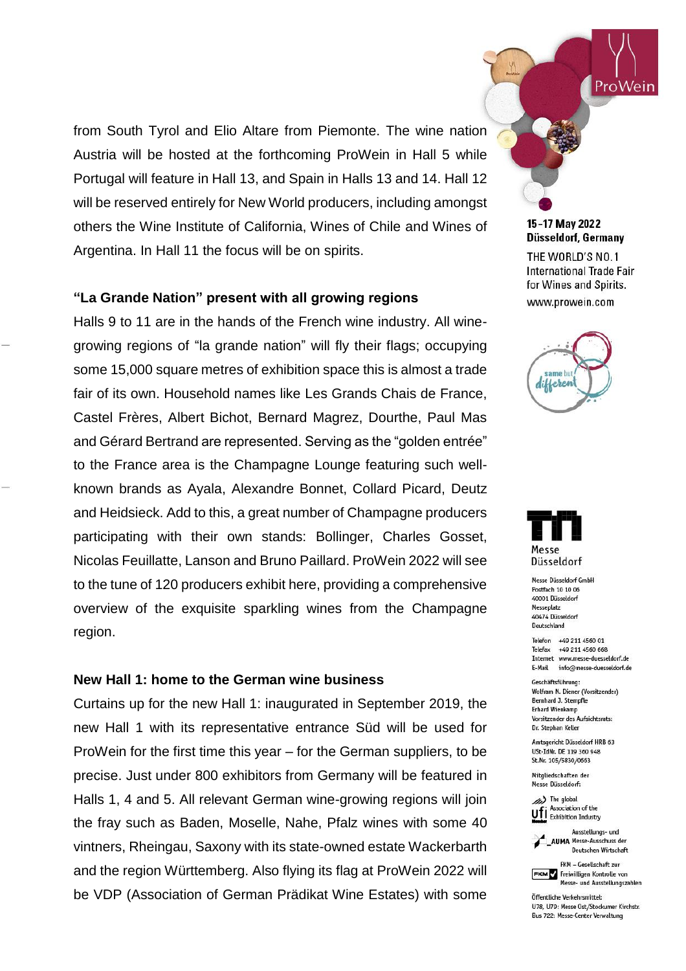from South Tyrol and Elio Altare from Piemonte. The wine nation Austria will be hosted at the forthcoming ProWein in Hall 5 while Portugal will feature in Hall 13, and Spain in Halls 13 and 14. Hall 12 will be reserved entirely for New World producers, including amongst others the Wine Institute of California, Wines of Chile and Wines of Argentina. In Hall 11 the focus will be on spirits.

# **"La Grande Nation" present with all growing regions**

Halls 9 to 11 are in the hands of the French wine industry. All winegrowing regions of "la grande nation" will fly their flags; occupying some 15,000 square metres of exhibition space this is almost a trade fair of its own. Household names like Les Grands Chais de France, Castel Frères, Albert Bichot, Bernard Magrez, Dourthe, Paul Mas and Gérard Bertrand are represented. Serving as the "golden entrée" to the France area is the Champagne Lounge featuring such wellknown brands as Ayala, Alexandre Bonnet, Collard Picard, Deutz and Heidsieck. Add to this, a great number of Champagne producers participating with their own stands: Bollinger, Charles Gosset, Nicolas Feuillatte, Lanson and Bruno Paillard. ProWein 2022 will see to the tune of 120 producers exhibit here, providing a comprehensive overview of the exquisite sparkling wines from the Champagne region.

#### **New Hall 1: home to the German wine business**

Curtains up for the new Hall 1: inaugurated in September 2019, the new Hall 1 with its representative entrance Süd will be used for ProWein for the first time this year – for the German suppliers, to be precise. Just under 800 exhibitors from Germany will be featured in Halls 1, 4 and 5. All relevant German wine-growing regions will join the fray such as Baden, Moselle, Nahe, Pfalz wines with some 40 vintners, Rheingau, Saxony with its state-owned estate Wackerbarth and the region Württemberg. Also flying its flag at ProWein 2022 will be VDP (Association of German Prädikat Wine Estates) with some

15-17 May 2022 Düsseldorf, Germany

ProWein

THE WORLD'S NO.1 International Trade Fair for Wines and Spirits. www.prowein.com





Messe Düsseldorf GmbH Postfach 10 10 06 40001 Düsseldorf Messeplatz 40474 Düsseldorf Deutschland

Telefon +49 211 4560 01 Telefax +49 211 4560 668 Internet www.messe-duesseldorf.de E-Mail info@messe-duesseldorf.de

Geschäftsführung: Wolfram N. Diener (Vorsitzender) Bernhard J. Stempfle **Erhard Wienkamp** Vorsitzender des Aufsichtsrats: Dr. Stephan Keller

Amtsgericht Düsseldorf HRB 63 USt-IdNr. DE 119 360 948 St.Nr. 105/5830/0663

Mitgliedschaften der Messe Düsseldorf:





FKM - Gesellschaft zur FKM Freiwilligen Kontrolle von

Messe- und Ausstellungszahlen Öffentliche Verkehrsmittel:

U78, U79: Messe Ost/Stockumer Kirchstr. Bus 722: Messe-Center Verwaltung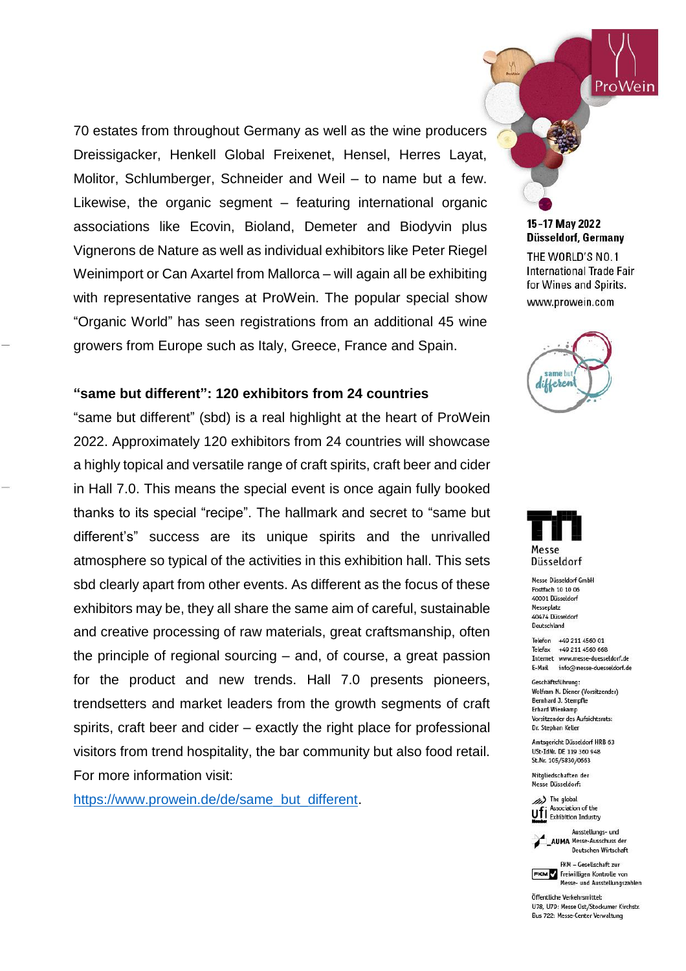70 estates from throughout Germany as well as the wine producers Dreissigacker, Henkell Global Freixenet, Hensel, Herres Layat, Molitor, Schlumberger, Schneider and Weil – to name but a few. Likewise, the organic segment – featuring international organic associations like Ecovin, Bioland, Demeter and Biodyvin plus Vignerons de Nature as well as individual exhibitors like Peter Riegel Weinimport or Can Axartel from Mallorca – will again all be exhibiting with representative ranges at ProWein. The popular special show "Organic World" has seen registrations from an additional 45 wine growers from Europe such as Italy, Greece, France and Spain.

# **"same but different": 120 exhibitors from 24 countries**

"same but different" (sbd) is a real highlight at the heart of ProWein 2022. Approximately 120 exhibitors from 24 countries will showcase a highly topical and versatile range of craft spirits, craft beer and cider in Hall 7.0. This means the special event is once again fully booked thanks to its special "recipe". The hallmark and secret to "same but different's" success are its unique spirits and the unrivalled atmosphere so typical of the activities in this exhibition hall. This sets sbd clearly apart from other events. As different as the focus of these exhibitors may be, they all share the same aim of careful, sustainable and creative processing of raw materials, great craftsmanship, often the principle of regional sourcing – and, of course, a great passion for the product and new trends. Hall 7.0 presents pioneers, trendsetters and market leaders from the growth segments of craft spirits, craft beer and cider – exactly the right place for professional visitors from trend hospitality, the bar community but also food retail. For more information visit:

[https://www.prowein.de/de/same\\_but\\_different.](https://www.prowein.de/de/same_but_different/same_but_different_2022)

## 15-17 May 2022 Düsseldorf, Germany THE WORLD'S NO.1 International Trade Fair

for Wines and Spirits. www.prowein.com

ProWein

same bu different



Messe Düsseldorf GmbH Postfach 10 10 06 40001 Düsseldorf Messeplatz 40474 Düsseldorf Deutschland

Telefon +49 211 4560 01 Telefax +49 211 4560 668 Internet www.messe-duesseldorf.de E-Mail info@messe-duesseldorf.de

Geschäftsführung: Wolfram N. Diener (Vorsitzender) Bernhard J. Stempfle **Erhard Wienkamp** Vorsitzender des Aufsichtsrats: Dr. Stephan Keller

Amtsgericht Düsseldorf HRB 63 USt-IdNr. DE 119 360 948 St.Nr. 105/5830/0663

Mitgliedschaften der Messe Düsseldorf:

(b) The global Association of the Ufi Association of the



Ausstellungs- und \_AUMA Messe-Ausschuss der Deutschen Wirtschaft

FKM - Gesellschaft zur FKM Freiwilligen Kontrolle von Messe- und Ausstellungszahlen

Öffentliche Verkehrsmittel: U78, U79: Messe Ost/Stockumer Kirchstr. Bus 722: Messe-Center Verwaltung